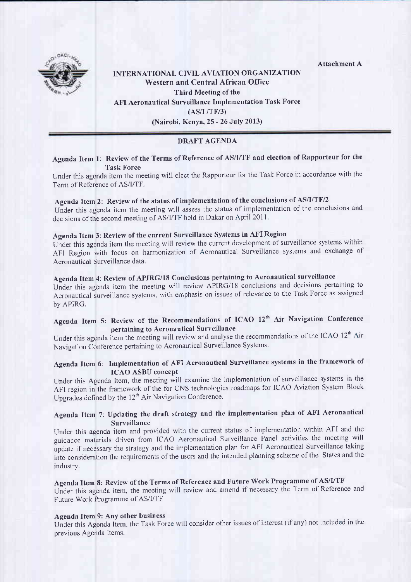Attachment A



# INTERNATIONAL CIVIL AVIATION ORGANIZATION Western and Central African Office Third Meeting of the AFI Aeronautical Surveillance Implementation Task Force (AS/I /TF/3) (Nairobi, Kenya, 25 - 26 JulY 2013)

# DRAFT AGENDA

## Agenda Item 1: Review of the Terms of Reference of AS/I/TF and election of Rapporteur for the Task Force

Under this agenda item the meeting will elect the Rapporteur for the Task Force in accordance with the Term of Reference of AS/l/TF.

# Agenda Item 2: Review of the status of implementation of the conclusions of AS/I/TF/2

Under this agenda item the meeting will assess the status of implementation of the conclusions and decisions of the second meeting of AS/I/TF held in Dakar on April 2011.

# Agenda Item 3: Review of the current Surveillance Systems in AFI Region

Under this agenda item the meeting will review the current development of surveillance systems within AFI Region with focus on harmonization of Aeronautical Surveillance systems and exchange of Aeronautical Surveillance data.

# Agenda Item 4: Review of APIRG/18 Conclusions pertaining to Aeronautical surveillance

Under this agenda item the meeting will review APIRG/18 conclusions and decisions pertaining to Aeronautical surveillance systems, with emphasis on issues of relevance to the Task Force as assigned by APIRG.

# Agenda Item 5: Review of the Recommendations of ICAO 12'h Air Navigâtion conference pertaining to Aeronautical Surveillance

Under this agenda item the meeting will review and analyse the recommendations of the ICAO 12<sup>th</sup> Air Navigation Conference pertaining to Aeronautical Surveillance Systems.

# Agendâ ltem 6: Implementation of AFI Aeronautical Surveillance systems in the framework of ICAO ASBU concept

Under this Agenda Item, the meeting will examine the implementation of surveillance systems in the AFI region in the framework of the for CNS technologies roadmaps for ICAO Aviation System Block Upgrades defined by the  $12<sup>th</sup>$  Air Navigation Conference.

# Agenda Item 7: Updating the draft strategy and the implementation plan of AFI Aeronautical Surveillance

Under this agenda item and provided with the current slatus of implementation within AFI and the guidance materials driven from ICAO Aeronautical Surveillance Panel activities the meeting will update if necessary the strategy and the implementation plan for AFI Aeronautical Surveillance taking into consideration the requirements of the users and the intended planning scheme of the States and the industry,

# Agenda Item 8: Review of the Terms of Reference and Future Work Programme of AS/I/TF

Under this agenda item, the meeting will review and amend if necessary the Term of Reference and Future Work Programme of AS/I/TF

#### Agenda Item 9: AnY other business

Under this Agenda Item, the Task Force will consider other issues of interest (if any) not included in the previous Agenda Items.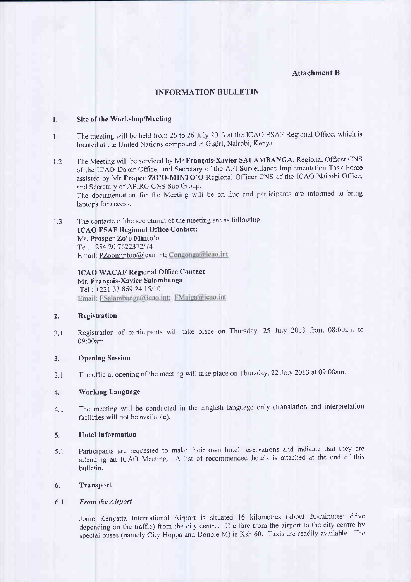### Attachment B

### INFORMATION BULLETIN

#### 1. Site of the Workshop/Meeting

- 1.1 The meeting will be held from 25 to 26 July 2013 at the ICAO ESAF Regional Office, which is located at the United Nations compound in Gigiri, Nairobi, Kenya.
- 1.2 The Meeting will be serviced by Mr François-Xavier SALAMBANGA, Regional Officer cNS of the ICAO Dakar Ofiice, and Secretary of the AFI Surveillance lmplementation Task Force assisted by Mr Proper ZO'O-MINTO'O Regional Officer CNS of the ICAO Nairobi Office, and Secretary of APIRG CNS Sub Group The documentation for the Meeting will be on line and participants are informed to bring laptops for access.
- 1.3 The contacts of the secretariat of the meeting are as following: ICAO ESAF Regional Office Contact: Mr. Prosper Zo'o Minto'o Tel. +254 20 7622372/74 Email: PZoomintoo@icao.int; Congonga@icao.int,

ICAO WACAF Regional Office Contact Mr. François-Xavier Salambanga Tel: +221 33 869 24 15/10<br>Email: FSalambanga@icao.int: FMaiga@icao.int

### 2. Registration

2.1 Registration of pafticipants will take place on Thursday, 25 July 2013 from 08:00am to 09:00am.

#### 3, Opening Session

3.1 The official opening of the meeting will take place on Thursday, 22 July 2013 at 09:00am.

#### 4. Working Language

4.1 The meeting will be conducted in the English language only (translation and interpretation facilities will not be available)

### 5. Hotel Information

5.1 Participants are requested to make their own hotel reservations and indicate that they are attending an ICAO Meeting. A list of recommended hotels is attached at the end of this bulletin.

#### 6. Transport

#### 6.1 From the Airport

Jomo Kenyatta International Airport is situated 16 kilometres (about 20-minutes' drive depending on the traffic) from the city centre. The fare from the airport to the city centre by special buses (namely City Hoppa and Double M) is Ksh 60. Taxis are readily available. The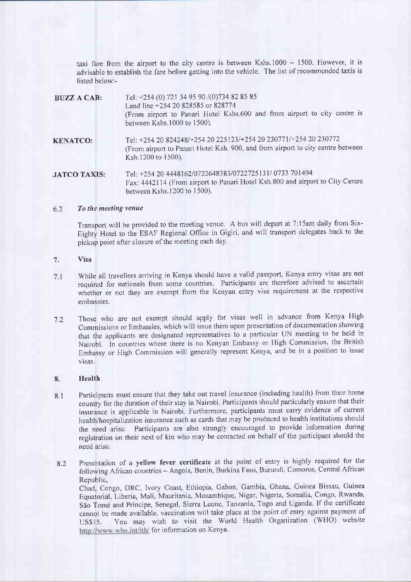taxi fare from the airport to the city centre is between Kshs.1000  $-$  1500. However, it is advisable to establish the fare before getting into the vehicle. The list of recommended taxis is listed below:-

| <b>BUZZ A CAB:</b>  | Tel: +254 (0) 721 34 95 90 /(0) 734 82 85 85<br>Land line +254 20 828585 or 828774<br>(From airport to Panari Hotel Kshs.600 and from airport to city centre is<br>between Kshs.1000 to 1500). |
|---------------------|------------------------------------------------------------------------------------------------------------------------------------------------------------------------------------------------|
| <b>KENATCO:</b>     | Tel: +254 20 824248/+254 20 225123/+254 20 230771/+254 20 230772<br>(From airport to Panari Hotel Ksh. 900, and from airport to city centre between<br>Ksh.1200 to 1500).                      |
| <b>JATCO TAXIS:</b> | Tel: +254 20 4448162/0722648383/0722725131/0733 701494<br>Fax: 4442114 (From airport to Panari Hotel Ksh.800 and airport to City Centre<br>between Kshs.1200 to 1500).                         |

#### $6.2$  To the meeting venue

Transport will be provided to the meeting venue. A bus will depart at 7:15am daily from Six-Eighty Hotel to the ESAF Regional Office in Gigiri, and will transport delegates back to the pickup point after closure of the meeting each day.

#### Visa 7.

- While all travellers arriving in Kenya should have a valid passport, Kenya entry visas are not required for nationals from some countries. Participants are therefore advised to ascertain whether or not they are exempt from the Kenyan entry visa requirement at the respective embassies. 7.1
- Those who are not exempt should apply for visas well in advance from Kenya High Commissions or Embassies, which will issue them upon presentation of documentation showing that the applicants are designated representatives to a particular UN meeting to be held in Nairobi. ln counfies where there is no Kenyan Embassy or High Commission, the British Embassy or High Commission will generally represent Kenya, and be in a position to issue visas. 72

#### 8. Health

- Participants must ensure that they take out travel insurance (including health) from their home country for the duration of their stay in Nairobi. Participants should particularly ensure that their insurance is applicable in Nairobi. Furthermore, participants must carry evidence of current health/hospitalization insurance such as cards that may be produced to health institutions should the need arise. Participants are also strongly encouraged to provide information during registration on their next of kin who may be contacted on behalf of the participant should the need arise. 8l
- Presentation of a yellow fever certificate at the point of entry is highly required for the following African countries - Angola, Benin, Burkina Faso, Burundi, Comoros, Central African Republic, Chad, Congo, DRC, lvory'Coast, Ethiopia, Gabon, Cambia, Ghana, Guinea Bissau, Guinea Equatorial, Liberia, Mali, Mauritania, Mozambique, Niger, Nigeria, Somalia, Congo, Rwanda, São Tomé and Principe, Senegal, Sierra Leone, Tanzania, Togo and Uganda. If the certificate cannot be made available, vaccination wilt take place at the point of entry against payment of US\$15. You may wish to visit the World Health Organization (WHO) website http://www.who.int/ith/ for information on Kenya. 8.2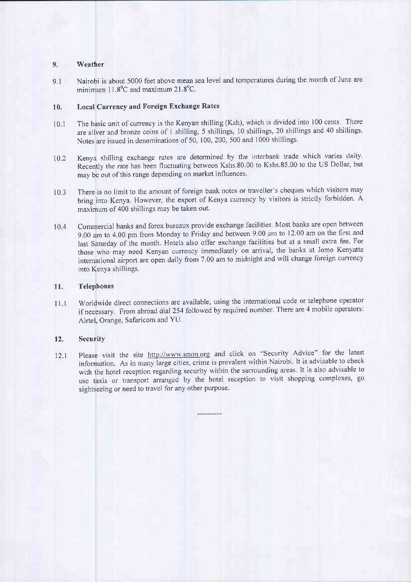#### 9. Weather

9.1 Nairobi is about 5000 feet above mean sea level and temperatures during the month of June are minimum  $11.8^{\circ}$ C and maximum  $21.8^{\circ}$ C.

#### 10. Local Currency and Foreign Exchange Rates

- 10.1 The basic unit of currency is the Kenyan shilling (Ksh), which is divided into 100 cents. There are silver and bronze coins of 1 shilling, 5 shillings, 10 shillings, 20 shillings and 40 shillings Notes are issued in denominations of 50, 100, 200, 500 and 1000 shillings
- 10.2 Kenya shilling exchange rates are determined by the interbank trade which varies daily. Recently the rate has been fluctuating between Kshs.80.00 to Kshs.85.00 to the US Dollar, but may be out of this range depending on market influences.
- 10,3 There is no limit to the amount of foreign bank notes or traveller's cheques which visitors may bring into Kenya. However, the export of Kenya currency by visitors is strictly forbidden. A maximum of 400 shillings may be taken out.
- 10.4 Commercial banks and forex bureaux provide exchange facilities. Most banks are open between g.00 am to 4.00 pm from Monday to Ftiday and between 9.00 am to 12,00 am on the first and last Saturday of the month. Hotels also offer exchange facilities but at a small extra fee. For those who may need Kenyan currency immediately on arrival, the banks at Jomo Kenyatta international airport are open daily from 7.00 am to midnight and will change foreign currency into Kenya shillings.

#### 11. Telephones

11.1 Worldwide direct connections are available, using the international code or telephone operator if necessary. From abroad dial 254 followed by required number. There are 4 mobile operators: Airtel, Orange, Safaricom and YU

### 12, Security

12.1 Please visit the site http://www.unon.org and click on "Security Advice" for the latest information. As in many làrge cities, crime is prevalent within Nairobi. It is advisable to check with the hotel reception regarding security within the surrounding areas, lt is also advisable to use taxis or transport arranged by the hotel reception to visit shopping complexes, go sightseeing or need to travel for any other purpose.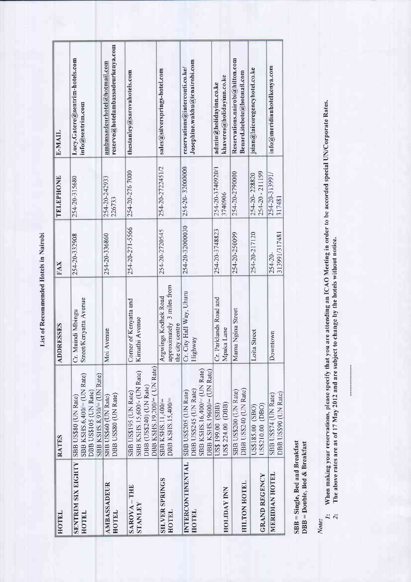List of Recommended Hotels in Nairobi

| HOTEL                                           | <b>RATES</b>                                                                                                    | <b>ADDRESSES</b>                                                      | FAX                           | TELEPHONE                        | E-MAIL                                                               |
|-------------------------------------------------|-----------------------------------------------------------------------------------------------------------------|-----------------------------------------------------------------------|-------------------------------|----------------------------------|----------------------------------------------------------------------|
| <b>SENTRIM SIX EIGHTY</b><br>HOTEL              | SBB KSHS.6,400/= (UN Rate)<br>SBB KS1IS.8,930/= (UN Rate)<br>DBB US\$105 (UN Rate)<br>SBB US\$80 (UN Rate)      | Street/Kenyatta Avenue<br>Cr. Muindi Mbingu                           | 254-20-332908                 | 254-20-315680                    | Lucy.Gatere@sentrim-hotels.com<br>info@sentrim.com                   |
| <b>AMBASSADEUR</b><br>HOTEL                     | DBB USS80 (UN Rate)<br>SBB US\$60 (UN Rate)                                                                     | Avenue<br>Йoi                                                         | 254-20-336860                 | 254-20-242933<br>226733          | reserve@hotelambassadeurkenya.com<br>ambassadeurhotel@hotmail.com    |
| <b>FILL-</b><br><b>STANLEY</b><br><b>SAROVA</b> | DBB KSHS. 19,200/= (UN Rate)<br>SBB KSHS.15,600/- (UN Rate)<br>DBB (US\$240) (UN Rate)<br>SBB US\$195 (UN Rate) | Corner of Kenyatta and<br>Kimathi Avenue                              | 254-20-271-5566               | 254-20-276 7000                  | thestanley@sarovahotels.com                                          |
| <b>SILVER SPRINGS</b><br>HOTEL                  | DBB KSHS.15,400/=<br>SBB KSHS.11,400/=                                                                          | approximately 3 miles from<br>Argwings Kodhek Road<br>the city centre | 254-20-2720545                | 254-20-2722451/2                 | sales@silversprings-hotel.com                                        |
| INTERCONTINENTAL<br>IIOTEL                      | SBB KSHS.16,400/= (UN Rate)<br>DBB KSHS. 19600/= (UN Ratc)<br>OBB US\$245 (UN Rate)<br>SBB US\$205 (UN Rate)    | Cr. City Hall Way, Uhuru<br>Ilighway                                  | 254-20-32000030               | 254-20-32000000                  | Josephine.wakhu@icnairobi.com<br>reservations@interconti.co.ke/      |
| <b>HOLIDAY INN</b>                              | US\$ 224.00 (DBB)<br>US\$ 199.00 (SBB)                                                                          | Parklands Road and<br>Mpaka Lane<br>Š                                 | 254-20-3748823                | 254-20-3740920/1<br>3740906      | khaveres@holidayinn.co.ke<br>admin@holidayinn.co.ke                  |
| HILTON HOTEL                                    | DBB US\$240 (UN Rate)<br>SBB US\$200 (UN Rate)                                                                  | Mama Ngina Street                                                     | 254-20-250099                 | 254-20-2790000                   | Reservations.nairobi@hilton.com<br>$\text{Bend}.itebete@hotmail.com$ |
| <b>GRAND REGENCY</b>                            | US\$210.00 (DBO)<br>US\$185.00 (SBO)                                                                            | Loita Street                                                          | 254-20-217120                 | 254-20 - 211199<br>254-20-228820 | jsian@laicoregencyhotel.co.ke                                        |
| MERIDIAN HOTEL                                  | DBB US\$90 (UN Rate)<br>SBB US\$74 (UN Rate)                                                                    | Downtown                                                              | 313991/317481<br>$254 - 20 -$ | 254-20-313991/<br>317481         | $\mathop{\sf in}\nolimits$ fo@meridianhotelkenya.com                 |

 $SBB = Single, Bed and Breakfast  
DBB = Double, Bed & Breakfast$ 

Note:

When making your reservations, please specify that you are attending an ICAO Meeting in order to be accorded special UN/Corporate Rates.<br>The above rates are as of 17 May 2012 and are subject to change by the hotels without  $\frac{1}{2}$   $\frac{1}{2}$